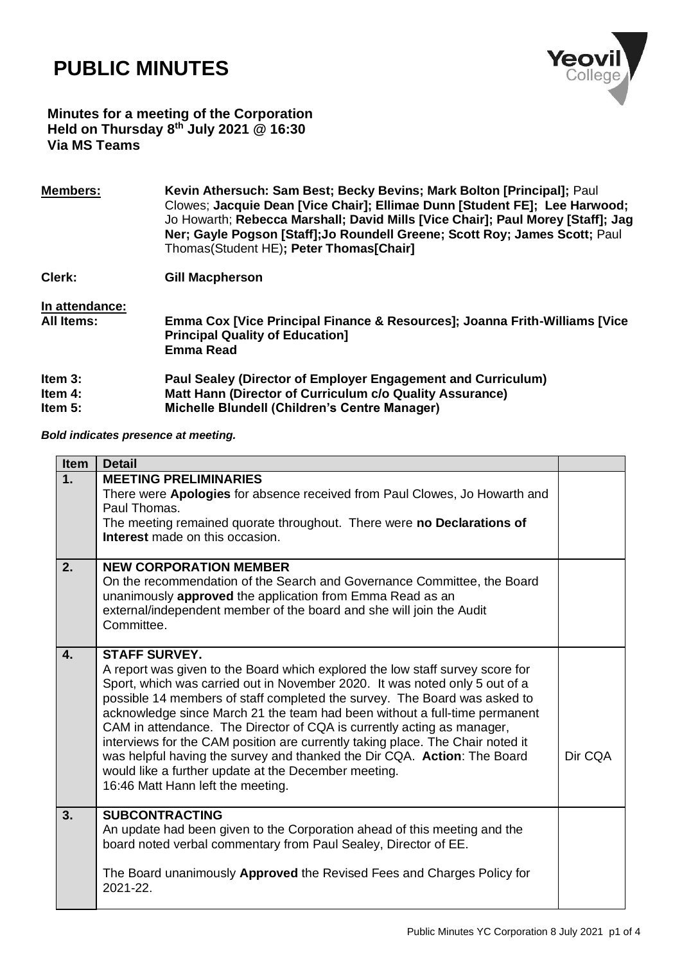## **PUBLIC MINUTES**



## **Minutes for a meeting of the Corporation Held on Thursday 8 th July 2021 @ 16:30 Via MS Teams**

| <b>Members:</b>   | Kevin Athersuch: Sam Best; Becky Bevins; Mark Bolton [Principal]; Paul<br>Clowes; Jacquie Dean [Vice Chair]; Ellimae Dunn [Student FE]; Lee Harwood;<br>Jo Howarth; Rebecca Marshall; David Mills [Vice Chair]; Paul Morey [Staff]; Jag<br>Ner; Gayle Pogson [Staff]; Jo Roundell Greene; Scott Roy; James Scott; Paul<br>Thomas(Student HE); Peter Thomas[Chair] |
|-------------------|-------------------------------------------------------------------------------------------------------------------------------------------------------------------------------------------------------------------------------------------------------------------------------------------------------------------------------------------------------------------|
| Clerk:            | <b>Gill Macpherson</b>                                                                                                                                                                                                                                                                                                                                            |
| In attendance:    |                                                                                                                                                                                                                                                                                                                                                                   |
| <b>All Items:</b> | Emma Cox [Vice Principal Finance & Resources]; Joanna Frith-Williams [Vice<br><b>Principal Quality of Education]</b>                                                                                                                                                                                                                                              |
|                   | <b>Emma Read</b>                                                                                                                                                                                                                                                                                                                                                  |
| Item $3:$         | Paul Sealey (Director of Employer Engagement and Curriculum)                                                                                                                                                                                                                                                                                                      |
| Item $4$ :        | Matt Hann (Director of Curriculum c/o Quality Assurance)                                                                                                                                                                                                                                                                                                          |
| Item $5:$         | <b>Michelle Blundell (Children's Centre Manager)</b>                                                                                                                                                                                                                                                                                                              |

*Bold indicates presence at meeting.*

| <b>Item</b>  | <b>Detail</b>                                                                                                                                                                                                                                                                                                                                                                                                                                                                                                                                                                                                                                                                        |         |
|--------------|--------------------------------------------------------------------------------------------------------------------------------------------------------------------------------------------------------------------------------------------------------------------------------------------------------------------------------------------------------------------------------------------------------------------------------------------------------------------------------------------------------------------------------------------------------------------------------------------------------------------------------------------------------------------------------------|---------|
| 1.           | <b>MEETING PRELIMINARIES</b><br>There were <b>Apologies</b> for absence received from Paul Clowes, Jo Howarth and<br>Paul Thomas<br>The meeting remained quorate throughout. There were no Declarations of<br><b>Interest</b> made on this occasion.                                                                                                                                                                                                                                                                                                                                                                                                                                 |         |
| 2.           | <b>NEW CORPORATION MEMBER</b><br>On the recommendation of the Search and Governance Committee, the Board<br>unanimously <b>approved</b> the application from Emma Read as an<br>external/independent member of the board and she will join the Audit<br>Committee.                                                                                                                                                                                                                                                                                                                                                                                                                   |         |
| $\mathbf{4}$ | <b>STAFF SURVEY.</b><br>A report was given to the Board which explored the low staff survey score for<br>Sport, which was carried out in November 2020. It was noted only 5 out of a<br>possible 14 members of staff completed the survey. The Board was asked to<br>acknowledge since March 21 the team had been without a full-time permanent<br>CAM in attendance. The Director of CQA is currently acting as manager,<br>interviews for the CAM position are currently taking place. The Chair noted it<br>was helpful having the survey and thanked the Dir CQA. Action: The Board<br>would like a further update at the December meeting.<br>16:46 Matt Hann left the meeting. | Dir CQA |
| 3.           | <b>SUBCONTRACTING</b><br>An update had been given to the Corporation ahead of this meeting and the<br>board noted verbal commentary from Paul Sealey, Director of EE.<br>The Board unanimously <b>Approved</b> the Revised Fees and Charges Policy for<br>2021-22.                                                                                                                                                                                                                                                                                                                                                                                                                   |         |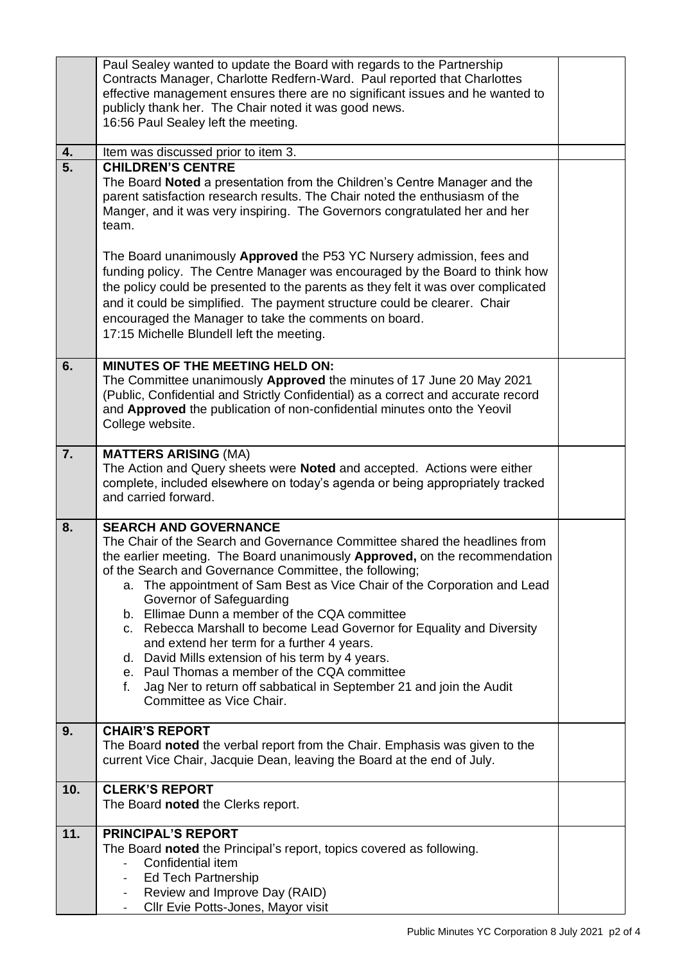|     | Paul Sealey wanted to update the Board with regards to the Partnership<br>Contracts Manager, Charlotte Redfern-Ward. Paul reported that Charlottes<br>effective management ensures there are no significant issues and he wanted to<br>publicly thank her. The Chair noted it was good news.<br>16:56 Paul Sealey left the meeting.                                                                                                                                                                                                                                                                                                                                                                                                                      |  |
|-----|----------------------------------------------------------------------------------------------------------------------------------------------------------------------------------------------------------------------------------------------------------------------------------------------------------------------------------------------------------------------------------------------------------------------------------------------------------------------------------------------------------------------------------------------------------------------------------------------------------------------------------------------------------------------------------------------------------------------------------------------------------|--|
| 4.  | Item was discussed prior to item 3.                                                                                                                                                                                                                                                                                                                                                                                                                                                                                                                                                                                                                                                                                                                      |  |
| 5.  | <b>CHILDREN'S CENTRE</b><br>The Board Noted a presentation from the Children's Centre Manager and the<br>parent satisfaction research results. The Chair noted the enthusiasm of the<br>Manger, and it was very inspiring. The Governors congratulated her and her<br>team.                                                                                                                                                                                                                                                                                                                                                                                                                                                                              |  |
|     | The Board unanimously Approved the P53 YC Nursery admission, fees and<br>funding policy. The Centre Manager was encouraged by the Board to think how<br>the policy could be presented to the parents as they felt it was over complicated<br>and it could be simplified. The payment structure could be clearer. Chair<br>encouraged the Manager to take the comments on board.<br>17:15 Michelle Blundell left the meeting.                                                                                                                                                                                                                                                                                                                             |  |
| 6.  | MINUTES OF THE MEETING HELD ON:<br>The Committee unanimously Approved the minutes of 17 June 20 May 2021<br>(Public, Confidential and Strictly Confidential) as a correct and accurate record<br>and Approved the publication of non-confidential minutes onto the Yeovil<br>College website.                                                                                                                                                                                                                                                                                                                                                                                                                                                            |  |
| 7.  | <b>MATTERS ARISING (MA)</b><br>The Action and Query sheets were Noted and accepted. Actions were either<br>complete, included elsewhere on today's agenda or being appropriately tracked<br>and carried forward.                                                                                                                                                                                                                                                                                                                                                                                                                                                                                                                                         |  |
| 8.  | <b>SEARCH AND GOVERNANCE</b><br>The Chair of the Search and Governance Committee shared the headlines from<br>the earlier meeting. The Board unanimously <b>Approved</b> , on the recommendation<br>of the Search and Governance Committee, the following;<br>a. The appointment of Sam Best as Vice Chair of the Corporation and Lead<br>Governor of Safeguarding<br>b. Ellimae Dunn a member of the CQA committee<br>c. Rebecca Marshall to become Lead Governor for Equality and Diversity<br>and extend her term for a further 4 years.<br>d. David Mills extension of his term by 4 years.<br>e. Paul Thomas a member of the CQA committee<br>Jag Ner to return off sabbatical in September 21 and join the Audit<br>f.<br>Committee as Vice Chair. |  |
| 9.  | <b>CHAIR'S REPORT</b><br>The Board noted the verbal report from the Chair. Emphasis was given to the<br>current Vice Chair, Jacquie Dean, leaving the Board at the end of July.                                                                                                                                                                                                                                                                                                                                                                                                                                                                                                                                                                          |  |
| 10. | <b>CLERK'S REPORT</b><br>The Board noted the Clerks report.                                                                                                                                                                                                                                                                                                                                                                                                                                                                                                                                                                                                                                                                                              |  |
| 11. | <b>PRINCIPAL'S REPORT</b><br>The Board noted the Principal's report, topics covered as following.<br>Confidential item<br><b>Ed Tech Partnership</b><br>$\overline{\phantom{a}}$<br>Review and Improve Day (RAID)<br>$\overline{\phantom{a}}$<br>Cllr Evie Potts-Jones, Mayor visit<br>$\overline{\phantom{a}}$                                                                                                                                                                                                                                                                                                                                                                                                                                          |  |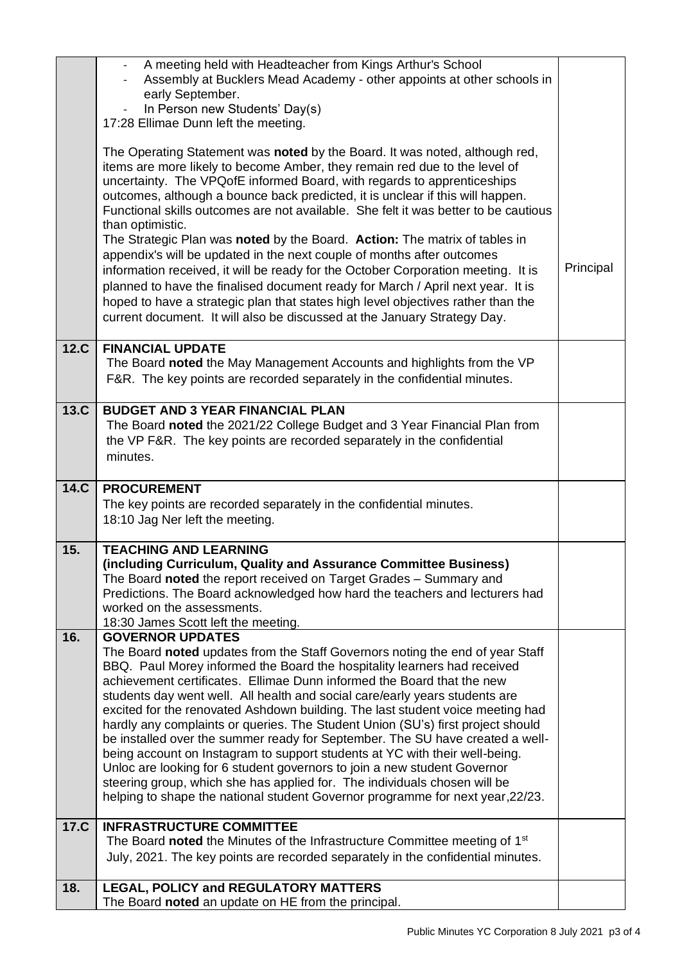|      | A meeting held with Headteacher from Kings Arthur's School<br>Assembly at Bucklers Mead Academy - other appoints at other schools in                                                                                                                                                                                                                                                                                                                                                                                                                                                         |           |
|------|----------------------------------------------------------------------------------------------------------------------------------------------------------------------------------------------------------------------------------------------------------------------------------------------------------------------------------------------------------------------------------------------------------------------------------------------------------------------------------------------------------------------------------------------------------------------------------------------|-----------|
|      | early September.                                                                                                                                                                                                                                                                                                                                                                                                                                                                                                                                                                             |           |
|      | In Person new Students' Day(s)<br>17:28 Ellimae Dunn left the meeting.                                                                                                                                                                                                                                                                                                                                                                                                                                                                                                                       |           |
|      |                                                                                                                                                                                                                                                                                                                                                                                                                                                                                                                                                                                              |           |
|      | The Operating Statement was noted by the Board. It was noted, although red,<br>items are more likely to become Amber, they remain red due to the level of<br>uncertainty. The VPQ of E informed Board, with regards to apprentice ships<br>outcomes, although a bounce back predicted, it is unclear if this will happen.<br>Functional skills outcomes are not available. She felt it was better to be cautious<br>than optimistic.<br>The Strategic Plan was noted by the Board. Action: The matrix of tables in<br>appendix's will be updated in the next couple of months after outcomes |           |
|      | information received, it will be ready for the October Corporation meeting. It is                                                                                                                                                                                                                                                                                                                                                                                                                                                                                                            | Principal |
|      | planned to have the finalised document ready for March / April next year. It is<br>hoped to have a strategic plan that states high level objectives rather than the                                                                                                                                                                                                                                                                                                                                                                                                                          |           |
|      | current document. It will also be discussed at the January Strategy Day.                                                                                                                                                                                                                                                                                                                                                                                                                                                                                                                     |           |
| 12.C | <b>FINANCIAL UPDATE</b>                                                                                                                                                                                                                                                                                                                                                                                                                                                                                                                                                                      |           |
|      | The Board noted the May Management Accounts and highlights from the VP<br>F&R. The key points are recorded separately in the confidential minutes.                                                                                                                                                                                                                                                                                                                                                                                                                                           |           |
| 13.C | <b>BUDGET AND 3 YEAR FINANCIAL PLAN</b>                                                                                                                                                                                                                                                                                                                                                                                                                                                                                                                                                      |           |
|      | The Board noted the 2021/22 College Budget and 3 Year Financial Plan from<br>the VP F&R. The key points are recorded separately in the confidential                                                                                                                                                                                                                                                                                                                                                                                                                                          |           |
|      | minutes.                                                                                                                                                                                                                                                                                                                                                                                                                                                                                                                                                                                     |           |
| 14.C | <b>PROCUREMENT</b>                                                                                                                                                                                                                                                                                                                                                                                                                                                                                                                                                                           |           |
|      | The key points are recorded separately in the confidential minutes.                                                                                                                                                                                                                                                                                                                                                                                                                                                                                                                          |           |
|      | 18:10 Jag Ner left the meeting.                                                                                                                                                                                                                                                                                                                                                                                                                                                                                                                                                              |           |
| 15.  | <b>TEACHING AND LEARNING</b>                                                                                                                                                                                                                                                                                                                                                                                                                                                                                                                                                                 |           |
|      | (including Curriculum, Quality and Assurance Committee Business)<br>The Board noted the report received on Target Grades - Summary and                                                                                                                                                                                                                                                                                                                                                                                                                                                       |           |
|      | Predictions. The Board acknowledged how hard the teachers and lecturers had                                                                                                                                                                                                                                                                                                                                                                                                                                                                                                                  |           |
|      | worked on the assessments.<br>18:30 James Scott left the meeting.                                                                                                                                                                                                                                                                                                                                                                                                                                                                                                                            |           |
| 16.  | <b>GOVERNOR UPDATES</b>                                                                                                                                                                                                                                                                                                                                                                                                                                                                                                                                                                      |           |
|      | The Board noted updates from the Staff Governors noting the end of year Staff<br>BBQ. Paul Morey informed the Board the hospitality learners had received                                                                                                                                                                                                                                                                                                                                                                                                                                    |           |
|      | achievement certificates. Ellimae Dunn informed the Board that the new                                                                                                                                                                                                                                                                                                                                                                                                                                                                                                                       |           |
|      | students day went well. All health and social care/early years students are<br>excited for the renovated Ashdown building. The last student voice meeting had                                                                                                                                                                                                                                                                                                                                                                                                                                |           |
|      | hardly any complaints or queries. The Student Union (SU's) first project should                                                                                                                                                                                                                                                                                                                                                                                                                                                                                                              |           |
|      | be installed over the summer ready for September. The SU have created a well-                                                                                                                                                                                                                                                                                                                                                                                                                                                                                                                |           |
|      | being account on Instagram to support students at YC with their well-being.<br>Unloc are looking for 6 student governors to join a new student Governor                                                                                                                                                                                                                                                                                                                                                                                                                                      |           |
|      | steering group, which she has applied for. The individuals chosen will be                                                                                                                                                                                                                                                                                                                                                                                                                                                                                                                    |           |
|      | helping to shape the national student Governor programme for next year, 22/23.                                                                                                                                                                                                                                                                                                                                                                                                                                                                                                               |           |
| 17.C | <b>INFRASTRUCTURE COMMITTEE</b>                                                                                                                                                                                                                                                                                                                                                                                                                                                                                                                                                              |           |
|      | The Board noted the Minutes of the Infrastructure Committee meeting of 1 <sup>st</sup><br>July, 2021. The key points are recorded separately in the confidential minutes.                                                                                                                                                                                                                                                                                                                                                                                                                    |           |
|      |                                                                                                                                                                                                                                                                                                                                                                                                                                                                                                                                                                                              |           |
| 18.  | <b>LEGAL, POLICY and REGULATORY MATTERS</b><br>The Board noted an update on HE from the principal.                                                                                                                                                                                                                                                                                                                                                                                                                                                                                           |           |
|      |                                                                                                                                                                                                                                                                                                                                                                                                                                                                                                                                                                                              |           |